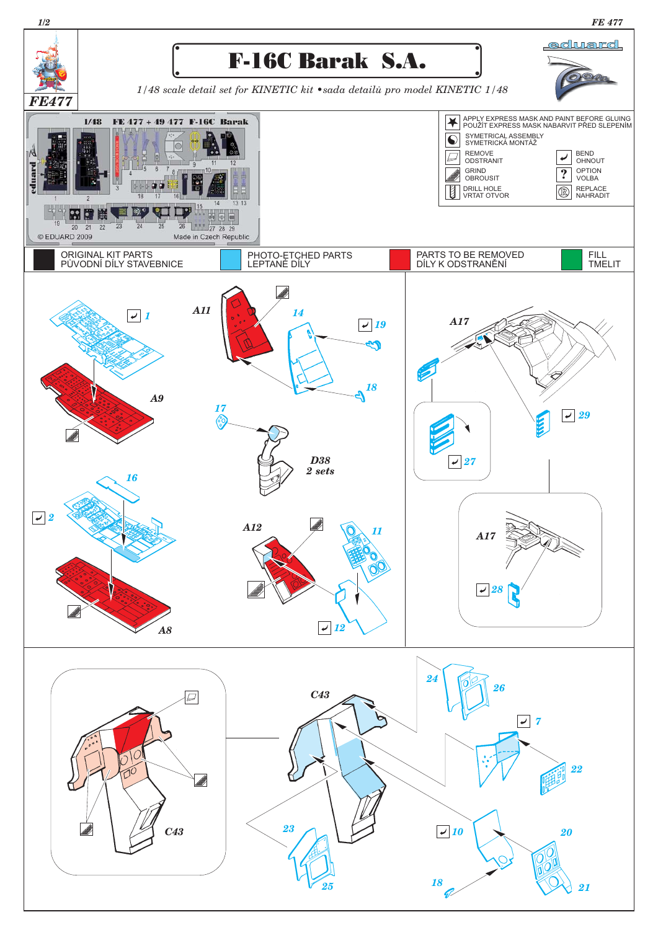